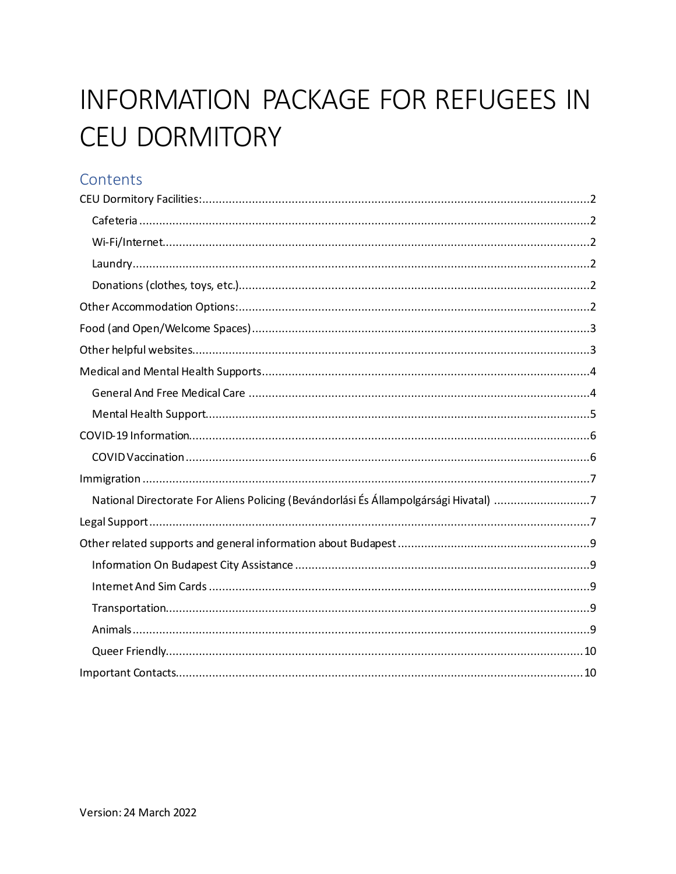# **INFORMATION PACKAGE FOR REFUGEES IN CEU DORMITORY**

# Contents

| National Directorate For Aliens Policing (Bevándorlási És Állampolgársági Hivatal) 7 |
|--------------------------------------------------------------------------------------|
|                                                                                      |
|                                                                                      |
|                                                                                      |
|                                                                                      |
|                                                                                      |
|                                                                                      |
|                                                                                      |
|                                                                                      |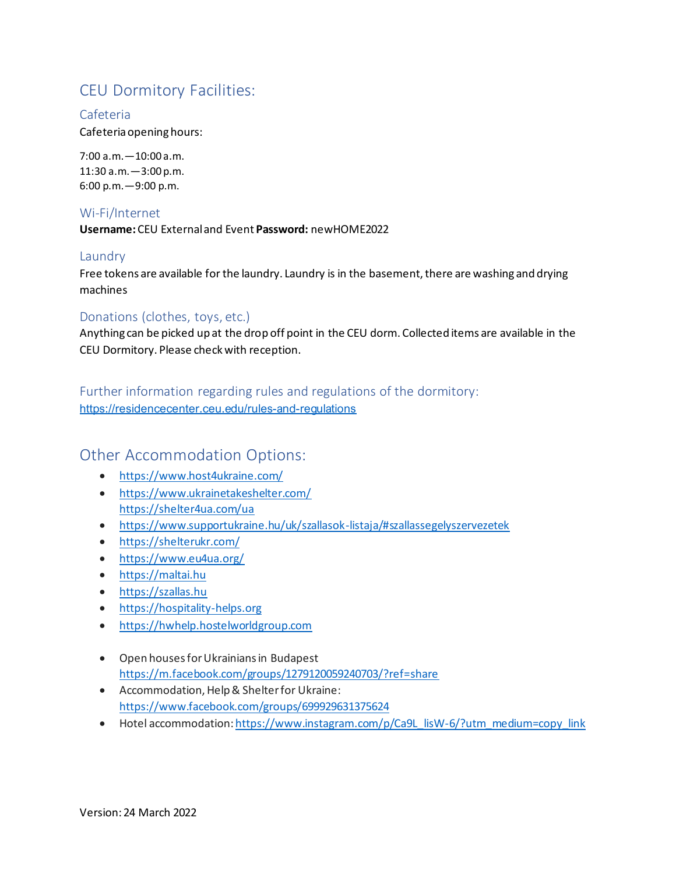# <span id="page-1-0"></span>CEU Dormitory Facilities:

#### <span id="page-1-1"></span>Cafeteria

Cafeteria opening hours:

7:00 a.m.—10:00 a.m. 11:30 a.m.—3:00 p.m. 6:00 p.m.—9:00 p.m.

#### <span id="page-1-2"></span>Wi-Fi/Internet

**Username:** CEU External and Event **Password:** newHOME2022

#### <span id="page-1-3"></span>Laundry

Free tokens are available for the laundry. Laundry is in the basement, there are washing and drying machines

#### <span id="page-1-4"></span>Donations (clothes, toys, etc.)

Anything can be picked up at the drop off point in the CEU dorm. Collected items are available in the CEU Dormitory. Please check with reception.

Further information regarding rules and regulations of the dormitory: <https://residencecenter.ceu.edu/rules-and-regulations>

## <span id="page-1-5"></span>Other Accommodation Options:

- <https://www.host4ukraine.com/>
- <https://www.ukrainetakeshelter.com/> <https://shelter4ua.com/ua>
- <https://www.supportukraine.hu/uk/szallasok-listaja/#szallassegelyszervezetek>
- [https://shelterukr.com/](https://l.facebook.com/l.php?u=https%3A%2F%2Fshelterukr.com%2F%3Ffbclid%3DIwAR15YXNupbBZnhn_ZSGKha5f6dFqTo9NQ9_7miChM5AgzLA8_emKHF6sGs8&h=AT0op5JioqG5eCNM7rCdET9wvCaiXHnaTfnfmeUm3f9V4_2E1eEv4mxIIJQxqwk0Ao2iox3n0vek5fkNpp2jk-eYMKZ9CGUW4zwMmS08dp8k0Lu02BR33YZ9rKzfiFWyN_i77ks&__tn__=-UK-R&c%5b0%5d=AT0WXfyhqQqvXZL4TrI6JqxxHiztQveuOw1aPnTc2-tT9fJVxFJl7yBw9_jenz4z-TRh4E2anqUBthRMsWAJyHPymW--W5qbUzuca0c0wrcFIVCbetazDnRzOJFsuRK3f0DeGaeBYh96r3j6aZKY7DacFMuQ)
- [https://www.eu4ua.org/](https://www.eu4ua.org/?fbclid=IwAR2t61TN74Vm-BBu856lSnKeq0WPq6EfQbTtZiMkcyYtutiZKUS-kgPeX20)
- [https://maltai.hu](https://maltai.hu/)
- [https://szallas.hu](https://szallas.hu/)
- [https://hospitality-helps.org](https://hospitality-helps.org/)
- [https://hwhelp.hostelworldgroup.com](https://hwhelp.hostelworldgroup.com/)
- Open houses for Ukrainians in Budapest <https://m.facebook.com/groups/1279120059240703/?ref=share>
- Accommodation, Help & Shelter for Ukraine: <https://www.facebook.com/groups/699929631375624>
- Hotel accommodation[: https://www.instagram.com/p/Ca9L\\_lisW-6/?utm\\_medium=copy\\_link](https://www.instagram.com/p/Ca9L_lisW-6/?utm_medium=copy_link)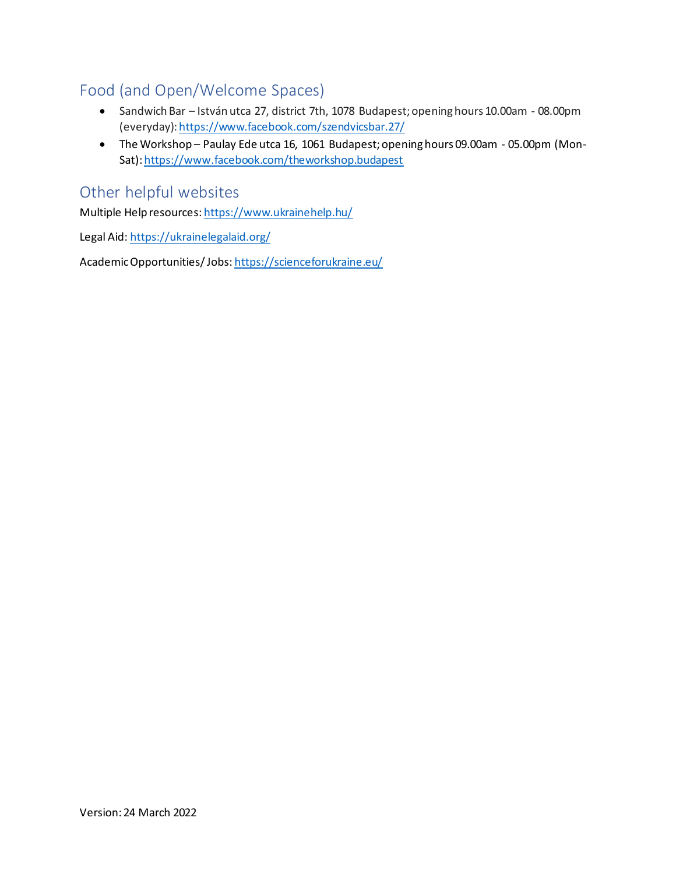# <span id="page-2-0"></span>Food (and Open/Welcome Spaces)

- Sandwich Bar István utca 27, district 7th, 1078 Budapest; opening hours 10.00am 08.00pm (everyday)[: https://www.facebook.com/szendvicsbar.27/](https://www.facebook.com/szendvicsbar.27/)
- The Workshop Paulay Ede utca 16, 1061 Budapest; opening hours 09.00am 05.00pm (Mon-Sat)[: https://www.facebook.com/theworkshop.budapest](https://www.facebook.com/theworkshop.budapest)

## <span id="page-2-1"></span>Other helpful websites

Multiple Help resources[: https://www.ukrainehelp.hu/](https://www.ukrainehelp.hu/)

Legal Aid[: https://ukrainelegalaid.org/](https://ukrainelegalaid.org/)

Academic Opportunities/ Jobs[: https://scienceforukraine.eu/](https://scienceforukraine.eu/)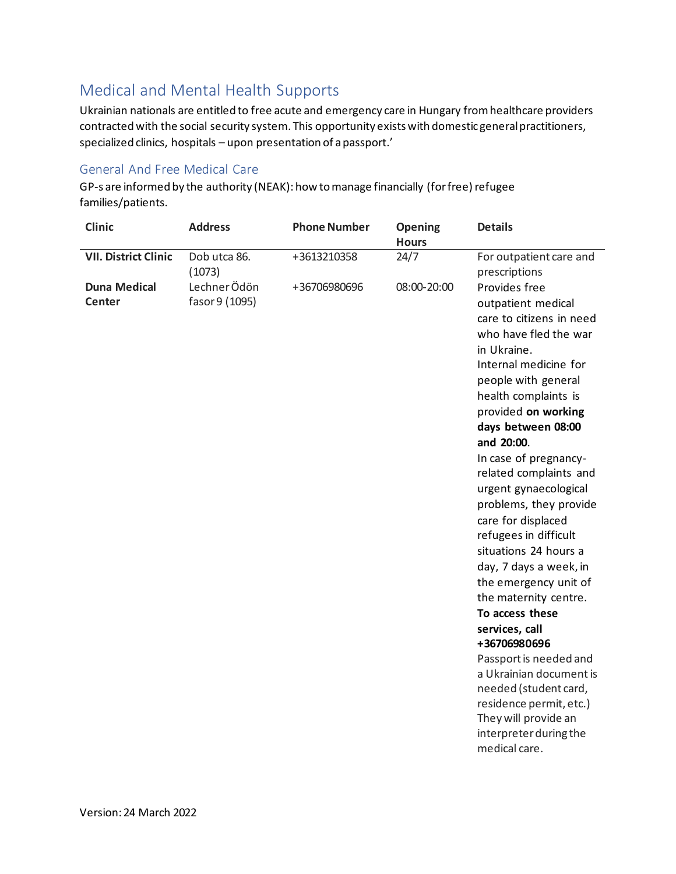# <span id="page-3-0"></span>Medical and Mental Health Supports

Ukrainian nationals are entitled to free acute and emergency care in Hungary from healthcare providers contracted with the social security system. This opportunity exists with domestic general practitioners, specialized clinics, hospitals – upon presentation of a passport.'

#### <span id="page-3-1"></span>General And Free Medical Care

GP-s are informed by the authority (NEAK): how to manage financially (for free) refugee families/patients.

| <b>Clinic</b>                        | <b>Address</b>                 | <b>Phone Number</b> | <b>Opening</b><br><b>Hours</b> | <b>Details</b>                                                                                                                                                                                                                                                                                                                                                                                                                                                                                                                                                                                                                                                                                                                        |
|--------------------------------------|--------------------------------|---------------------|--------------------------------|---------------------------------------------------------------------------------------------------------------------------------------------------------------------------------------------------------------------------------------------------------------------------------------------------------------------------------------------------------------------------------------------------------------------------------------------------------------------------------------------------------------------------------------------------------------------------------------------------------------------------------------------------------------------------------------------------------------------------------------|
| <b>VII. District Clinic</b>          | Dob utca 86.<br>(1073)         | +3613210358         | 24/7                           | For outpatient care and<br>prescriptions                                                                                                                                                                                                                                                                                                                                                                                                                                                                                                                                                                                                                                                                                              |
| <b>Duna Medical</b><br><b>Center</b> | Lechner Ödön<br>fasor 9 (1095) | +36706980696        | 08:00-20:00                    | Provides free<br>outpatient medical<br>care to citizens in need<br>who have fled the war<br>in Ukraine.<br>Internal medicine for<br>people with general<br>health complaints is<br>provided on working<br>days between 08:00<br>and 20:00.<br>In case of pregnancy-<br>related complaints and<br>urgent gynaecological<br>problems, they provide<br>care for displaced<br>refugees in difficult<br>situations 24 hours a<br>day, 7 days a week, in<br>the emergency unit of<br>the maternity centre.<br>To access these<br>services, call<br>+36706980696<br>Passport is needed and<br>a Ukrainian document is<br>needed (student card,<br>residence permit, etc.)<br>They will provide an<br>interpreter during the<br>medical care. |
|                                      |                                |                     |                                |                                                                                                                                                                                                                                                                                                                                                                                                                                                                                                                                                                                                                                                                                                                                       |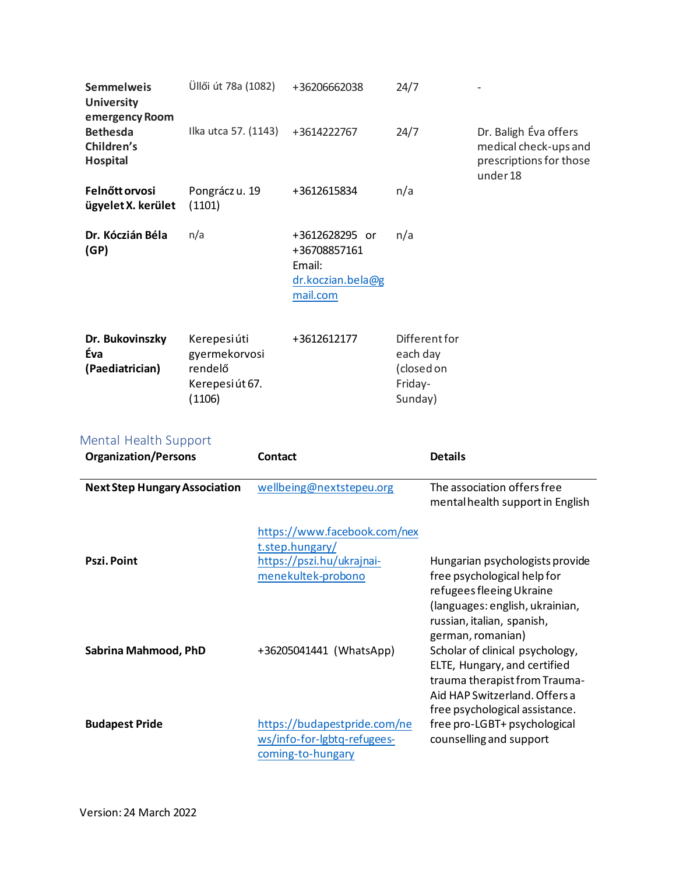| <b>Semmelweis</b><br><b>University</b><br>emergency Room | Üllői út 78a (1082)                                                   | +36206662038                                                              | 24/7                                                          |                                                                                       |
|----------------------------------------------------------|-----------------------------------------------------------------------|---------------------------------------------------------------------------|---------------------------------------------------------------|---------------------------------------------------------------------------------------|
| <b>Bethesda</b><br>Children's<br><b>Hospital</b>         | Ilka utca 57. (1143)                                                  | +3614222767                                                               | 24/7                                                          | Dr. Baligh Éva offers<br>medical check-ups and<br>prescriptions for those<br>under 18 |
| Felnőtt orvosi<br>ügyelet X. kerület                     | Pongrácz u. 19<br>(1101)                                              | +3612615834                                                               | n/a                                                           |                                                                                       |
| Dr. Kóczián Béla<br>(GP)                                 | n/a                                                                   | +3612628295 or<br>+36708857161<br>Email:<br>dr.koczian.bela@g<br>mail.com | n/a                                                           |                                                                                       |
| Dr. Bukovinszky<br>Éva<br>(Paediatrician)                | Kerepesi úti<br>gyermekorvosi<br>rendelő<br>Kerepesi út 67.<br>(1106) | +3612612177                                                               | Different for<br>each day<br>(closed on<br>Friday-<br>Sunday) |                                                                                       |

## <span id="page-4-0"></span>Mental Health Support

| <b>Organization/Persons</b>          | Contact                                                                                            | <b>Details</b>                                                                                                                                                                           |
|--------------------------------------|----------------------------------------------------------------------------------------------------|------------------------------------------------------------------------------------------------------------------------------------------------------------------------------------------|
| <b>Next Step Hungary Association</b> | wellbeing@nextstepeu.org                                                                           | The association offers free<br>mental health support in English                                                                                                                          |
| Pszi. Point                          | https://www.facebook.com/nex<br>t.step.hungary/<br>https://pszi.hu/ukrajnai-<br>menekultek-probono | Hungarian psychologists provide<br>free psychological help for<br>refugees fleeing Ukraine<br>(languages: english, ukrainian,<br>russian, italian, spanish,                              |
| Sabrina Mahmood, PhD                 | +36205041441 (WhatsApp)                                                                            | german, romanian)<br>Scholar of clinical psychology,<br>ELTE, Hungary, and certified<br>trauma therapist from Trauma-<br>Aid HAP Switzerland, Offers a<br>free psychological assistance. |
| <b>Budapest Pride</b>                | https://budapestpride.com/ne<br>ws/info-for-lgbtq-refugees-<br>coming-to-hungary                   | free pro-LGBT+ psychological<br>counselling and support                                                                                                                                  |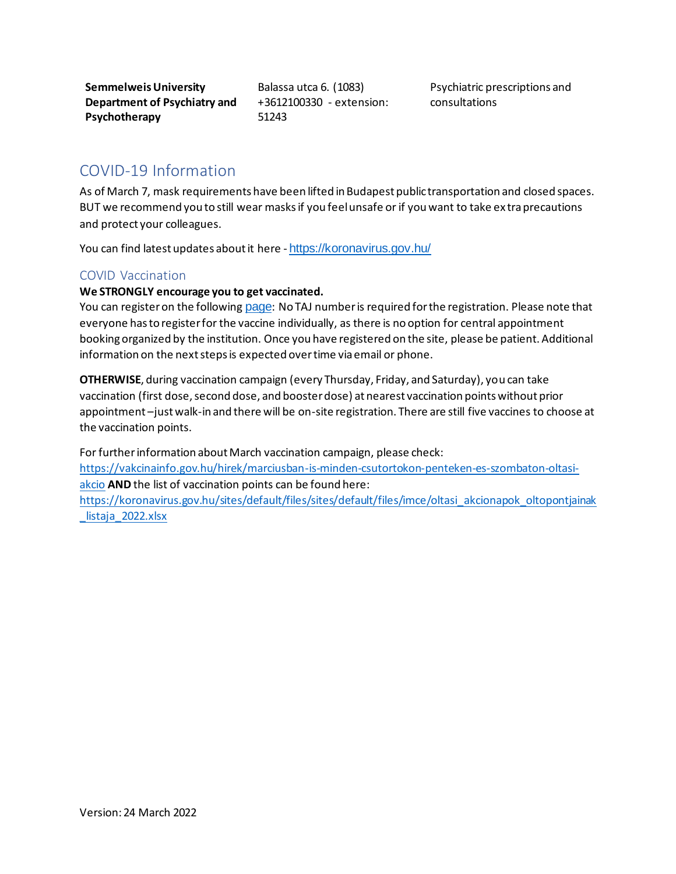**Semmelweis University Department of Psychiatry and Psychotherapy**

Balassa utca 6. (1083) +3612100330 - extension: 51243

Psychiatric prescriptions and consultations

## <span id="page-5-0"></span>COVID-19 Information

As of March 7, mask requirements have been lifted in Budapest public transportation and closed spaces. BUT we recommend you to still wear masks if you feel unsafe or if you want to take ex tra precautions and protect your colleagues.

You can find latest updates about it here - <https://koronavirus.gov.hu/>

## <span id="page-5-1"></span>COVID Vaccination

#### **We STRONGLY encourage you to get vaccinated.**

You can register on the following [page](https://vakcinainfo.gov.hu/): No TAJ number is required for the registration. Please note that everyone has to register for the vaccine individually, as there is no option for central appointment booking organized by the institution. Once you have registered on the site, please be patient. Additional information on the next steps is expected over time via email or phone.

**OTHERWISE**, during vaccination campaign (every Thursday, Friday, and Saturday), you can take vaccination (first dose, second dose, and booster dose) at nearest vaccination points without prior appointment –just walk-in and there will be on-site registration. There are still five vaccines to choose at the vaccination points.

For further information about March vaccination campaign, please check: [https://vakcinainfo.gov.hu/hirek/marciusban-is-minden-csutortokon-penteken-es-szombaton-oltasi](https://vakcinainfo.gov.hu/hirek/marciusban-is-minden-csutortokon-penteken-es-szombaton-oltasi-akcio)[akcio](https://vakcinainfo.gov.hu/hirek/marciusban-is-minden-csutortokon-penteken-es-szombaton-oltasi-akcio) **AND** the list of vaccination points can be found here: [https://koronavirus.gov.hu/sites/default/files/sites/default/files/imce/oltasi\\_akcionapok\\_oltopontjainak](https://koronavirus.gov.hu/sites/default/files/sites/default/files/imce/oltasi_akcionapok_oltopontjainak_listaja_2022.xlsx) listaja 2022.xlsx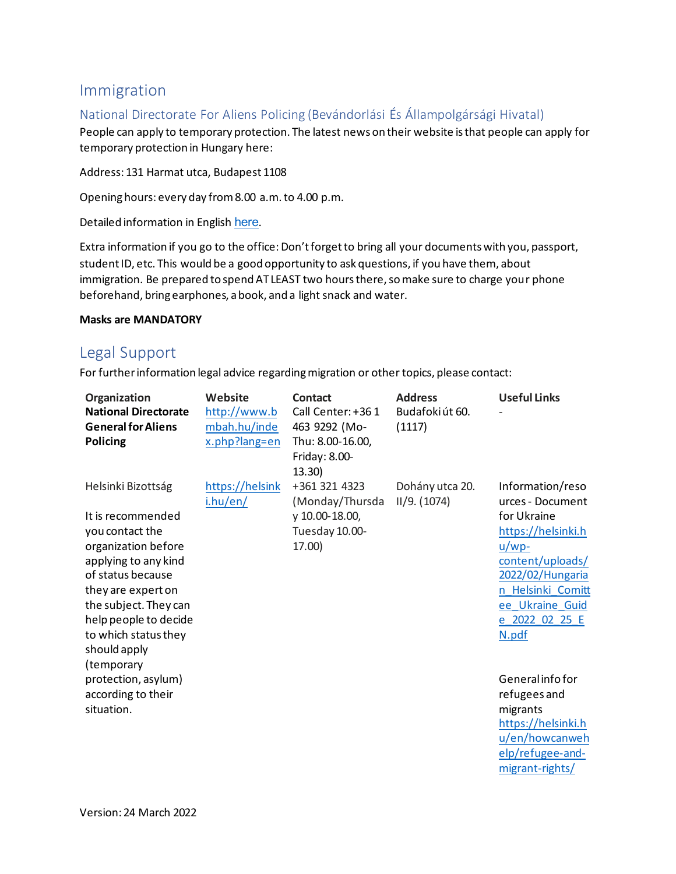## <span id="page-6-0"></span>Immigration

## <span id="page-6-1"></span>National Directorate For Aliens Policing (Bevándorlási És Állampolgársági Hivatal)

People can apply to temporary protection. The latest news on their website is that people can apply for temporary protection in Hungary here:

Address: 131 Harmat utca, Budapest 1108

Opening hours: every day from 8.00 a.m. to 4.00 p.m.

Detailed information in English [here](http://oif.gov.hu/index.php?option=com_k2&view=item&id=1757:information&lang=en).

Extra information if you go to the office: Don't forget to bring all your documents with you, passport, student ID, etc. This would be a good opportunity to ask questions, if you have them, about immigration. Be prepared to spend AT LEAST two hours there, so make sure to charge your phone beforehand, bring earphones, a book, and a light snack and water.

#### **Masks are MANDATORY**

## <span id="page-6-2"></span>Legal Support

For further information legal advice regarding migration or other topics, please contact:

| Organization<br><b>National Directorate</b><br><b>General for Aliens</b><br>Policing                                                                                                                                                           | Website<br>http://www.b<br>mbah.hu/inde<br>x.php?lang=en | Contact<br>Call Center: +361<br>463 9292 (Mo-<br>Thu: 8.00-16.00,<br>Friday: 8.00-<br>13.30 | <b>Address</b><br>Budafoki út 60.<br>(1117) | <b>Useful Links</b>                                                                                                                                                                           |
|------------------------------------------------------------------------------------------------------------------------------------------------------------------------------------------------------------------------------------------------|----------------------------------------------------------|---------------------------------------------------------------------------------------------|---------------------------------------------|-----------------------------------------------------------------------------------------------------------------------------------------------------------------------------------------------|
| Helsinki Bizottság<br>It is recommended<br>you contact the<br>organization before<br>applying to any kind<br>of status because<br>they are expert on<br>the subject. They can<br>help people to decide<br>to which status they<br>should apply | https://helsink<br>i.hu/en/                              | +361 321 4323<br>(Monday/Thursda<br>y 10.00-18.00,<br>Tuesday 10.00-<br>17.00)              | Dohány utca 20.<br>II/9. (1074)             | Information/reso<br>urces - Document<br>for Ukraine<br>https://helsinki.h<br>$u/wp-$<br>content/uploads/<br>2022/02/Hungaria<br>Helsinki Comitt<br>ee Ukraine Guid<br>e 2022 02 25 E<br>N.pdf |
| (temporary<br>protection, asylum)<br>according to their<br>situation.                                                                                                                                                                          |                                                          |                                                                                             |                                             | General info for<br>refugees and<br>migrants<br>https://helsinki.h<br>u/en/howcanweh<br>elp/refugee-and-<br>migrant-rights/                                                                   |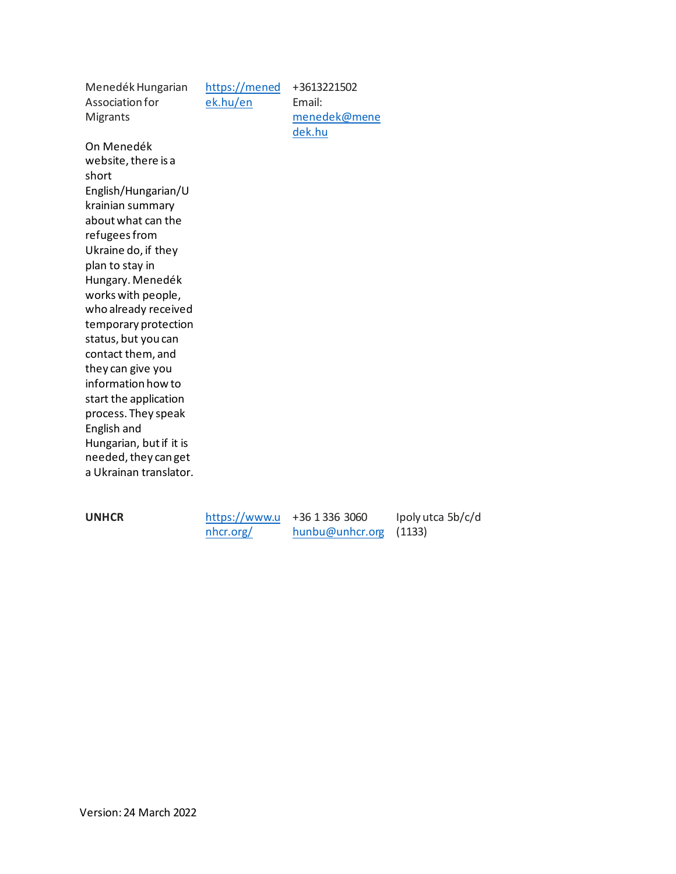Menedék Hungarian Association for Migrants On Menedék website, there is a short English/Hungarian/U krainian summary about what can the refugees from Ukraine do, if they plan to stay in Hungary. Menedék works with people, who already received temporary protection status, but you can contact them, and they can give you information how to start the application process. They speak English and Hungarian, but if it is needed, they can get a Ukrainan translator. [https://mened](https://menedek.hu/en) [ek.hu/en](https://menedek.hu/en)

**UNHCR** [https://www.u](https://www.unhcr.org/)

[nhcr.org/](https://www.unhcr.org/)

+36 1 336 3060 [hunbu@unhcr.org](mailto:hunbu@unhcr.org) (1133)

+3613221502 Email:

[dek.hu](mailto:menedek@menedek.hu)

[menedek@mene](mailto:menedek@menedek.hu)

Ipoly utca 5b/c/d

Version: 24 March 2022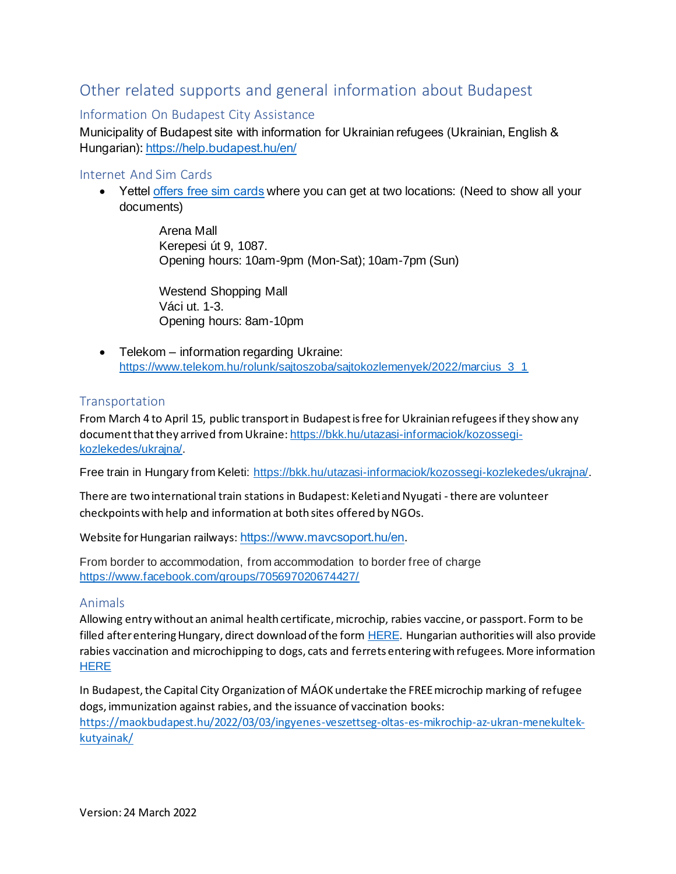# <span id="page-8-0"></span>Other related supports and general information about Budapest

## <span id="page-8-1"></span>Information On Budapest City Assistance

Municipality of Budapest site with information for Ukrainian refugees (Ukrainian, English & Hungarian)[: https://help.budapest.hu/en/](https://l.facebook.com/l.php?u=https%3A%2F%2Fhelp.budapest.hu%2Fen%2F%3Ffbclid%3DIwAR1dISqELR8yRabVzuczGMr3c8692zkAyns6vZIga3KlnsrPONY8Kn6A-sQ&h=AT0-9neAyr-AYg5-4rF-VBgggPqYoaxSfrYUxwZ_jUSrO2y_eGlsc_7QrTZksuq0jswXfRgZKQ4-YAQwxKL5buLs5HdXfN42L4QzUMyFHlwCuaFueDwtcngUtECUtk73ZQ&__tn__=-UK-R&c%5b0%5d=AT2DyQnuKeh0p16-IJpQR18T57jknEoSCxUKgyAa1Zb0xGuCYbWklpMBkoZonycacnVAA-OvJ4gXCbv_IQIYm-XgT7YLeoj-U-E1w2wxKJrfEe12gDClh38MFiQ75tUzvX42LnSe7hiUq9Z_Vao7zHo8zdkMVqSwp17pkKXU3xTPht6cZmedDCm9MxNfAEYPV2VLGq4j4u1S7vDV)

#### <span id="page-8-2"></span>Internet And Sim Cards

• Yettel [offers free sim cards](https://www.yettel.hu/sajto/kozlemeny/tobb-mint-40-ezer-feltoltott-sim-kartyat-1300-mobiltelefont-wifi-hotspotokat-es-egyeb-kommunikacios-eszkozoket-ajanl-fel-a-yettel-az-ukrajnabol-menekult-emberek-megsegitesere) where you can get at two locations: (Need to show all your documents)

> Arena Mall Kerepesi út 9, 1087. Opening hours: 10am-9pm (Mon-Sat); 10am-7pm (Sun)

Westend Shopping Mall Váci ut. 1-3. Opening hours: 8am-10pm

• Telekom – information regarding Ukraine: [https://www.telekom.hu/rolunk/sajtoszoba/sajtokozlemenyek/2022/marcius\\_3\\_1](https://www.telekom.hu/rolunk/sajtoszoba/sajtokozlemenyek/2022/marcius_3_1)

#### <span id="page-8-3"></span>**Transportation**

From March 4 to April 15, public transport in Budapest is free for Ukrainian refugees if they show any document that they arrived from Ukraine: [https://bkk.hu/utazasi-informaciok/kozossegi](https://bkk.hu/utazasi-informaciok/kozossegi-kozlekedes/ukrajna/)[kozlekedes/ukrajna/.](https://bkk.hu/utazasi-informaciok/kozossegi-kozlekedes/ukrajna/)

Free train in Hungary from Keleti: [https://bkk.hu/utazasi-informaciok/kozossegi-kozlekedes/ukrajna/.](https://bkk.hu/utazasi-informaciok/kozossegi-kozlekedes/ukrajna/)

There are two international train stations in Budapest: Keleti and Nyugati -there are volunteer checkpoints with help and information at both sites offered by NGOs.

Website for Hungarian railways: <https://www.mavcsoport.hu/en>.

From border to accommodation, from accommodation to border free of charge <https://www.facebook.com/groups/705697020674427/>

#### <span id="page-8-4"></span>Animals

Allowing entry without an animal health certificate, microchip, rabies vaccine, or passport. Form to be filled after entering Hungary, direct download of the form **[HERE](https://portal.nebih.gov.hu/documents/10182/51531346/Regisztracio+-+Ukrajna+-+Hun_Ukr.docx/bc62de2d-3a0d-592c-4afc-50fed42a2066?t=1645775725087)**. Hungarian authorities will also provide rabies vaccination and microchipping to dogs, cats and ferrets entering with refugees. More information **[HERE](https://portal.nebih.gov.hu/-/magyarorszag-biztositja-hogy-az-ukrajnabol-menekulok-magukkal-hozhassak-tarsallataikat?fbclid=IwAR12VYpkmvK2tKlYE6TYM1SsKFFQoW_mJccAn0WtrbOvddOTYC4uM3OBWSc)** 

In Budapest, the Capital City Organization of MÁOK undertake the FREE microchip marking of refugee dogs, immunization against rabies, and the issuance of vaccination books: [https://maokbudapest.hu/2022/03/03/ingyenes-veszettseg-oltas-es-mikrochip-az-ukran-menekultek](https://maokbudapest.hu/2022/03/03/ingyenes-veszettseg-oltas-es-mikrochip-az-ukran-menekultek-kutyainak/)[kutyainak/](https://maokbudapest.hu/2022/03/03/ingyenes-veszettseg-oltas-es-mikrochip-az-ukran-menekultek-kutyainak/)